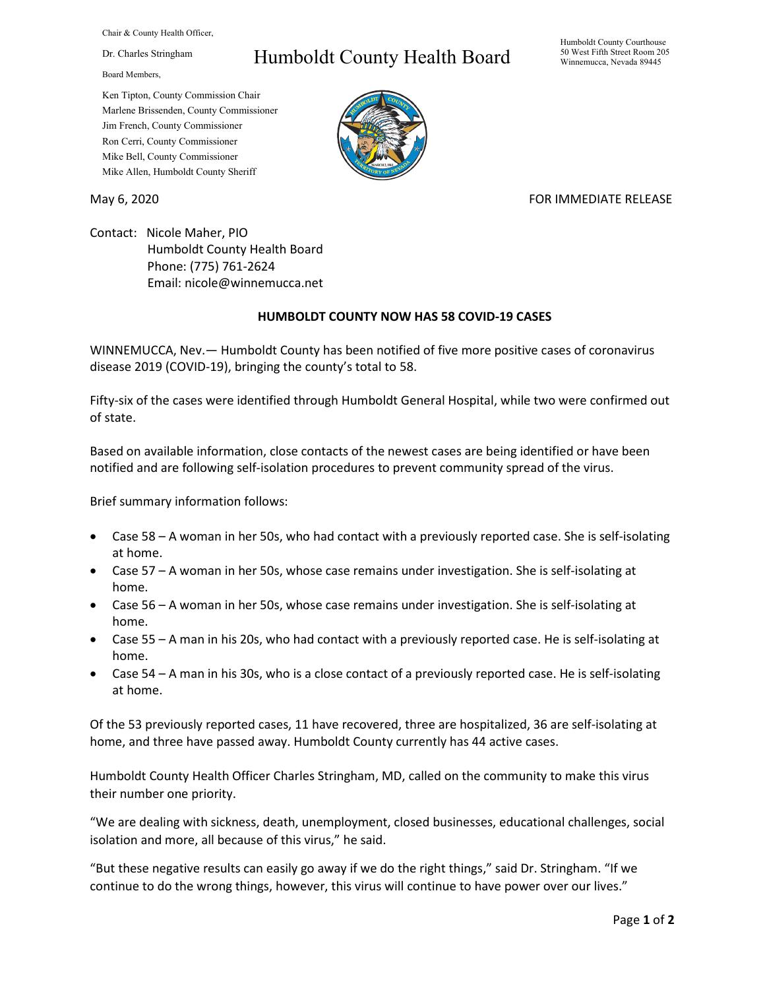Chair & County Health Officer,

Dr. Charles Stringham

Board Members,

## Humboldt County Health Board

Humboldt County Courthouse 50 West Fifth Street Room 205 Winnemucca, Nevada 89445

Ken Tipton, County Commission Chair Marlene Brissenden, County Commissioner Jim French, County Commissioner Ron Cerri, County Commissioner Mike Bell, County Commissioner Mike Allen, Humboldt County Sheriff

## May 6, 2020 **FOR IMMEDIATE RELEASE**

Contact: Nicole Maher, PIO Humboldt County Health Board Phone: (775) 761-2624 Email: nicole@winnemucca.net

## **HUMBOLDT COUNTY NOW HAS 58 COVID-19 CASES**

WINNEMUCCA, Nev.— Humboldt County has been notified of five more positive cases of coronavirus disease 2019 (COVID-19), bringing the county's total to 58.

Fifty-six of the cases were identified through Humboldt General Hospital, while two were confirmed out of state.

Based on available information, close contacts of the newest cases are being identified or have been notified and are following self-isolation procedures to prevent community spread of the virus.

Brief summary information follows:

- Case 58 A woman in her 50s, who had contact with a previously reported case. She is self-isolating at home.
- Case 57 A woman in her 50s, whose case remains under investigation. She is self-isolating at home.
- Case 56 A woman in her 50s, whose case remains under investigation. She is self-isolating at home.
- Case 55 A man in his 20s, who had contact with a previously reported case. He is self-isolating at home.
- Case 54 A man in his 30s, who is a close contact of a previously reported case. He is self-isolating at home.

Of the 53 previously reported cases, 11 have recovered, three are hospitalized, 36 are self-isolating at home, and three have passed away. Humboldt County currently has 44 active cases.

Humboldt County Health Officer Charles Stringham, MD, called on the community to make this virus their number one priority.

"We are dealing with sickness, death, unemployment, closed businesses, educational challenges, social isolation and more, all because of this virus," he said.

"But these negative results can easily go away if we do the right things," said Dr. Stringham. "If we continue to do the wrong things, however, this virus will continue to have power over our lives."